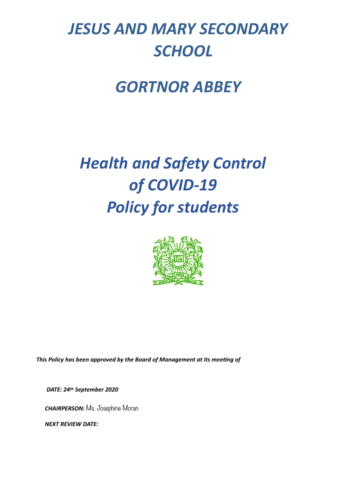## *JESUS AND MARY SECONDARY SCHOOL*

### *GORTNOR ABBEY*

# *Health and Safety Control of COVID-19 Policy for students*



This Policy has been approved by the Board of Management at its meeting of

*DATE: 24th September 2020* 

 *CHAIRPERSON:* Ms. Josephine Moran

 *NEXT REVIEW DATE:*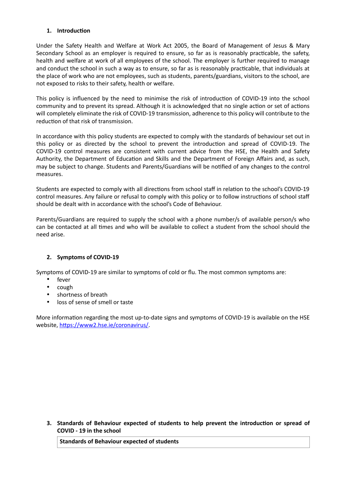#### 1. **Introduction**

Under the Safety Health and Welfare at Work Act 2005, the Board of Management of Jesus & Mary Secondary School as an employer is required to ensure, so far as is reasonably practicable, the safety, health and welfare at work of all employees of the school. The employer is further required to manage and conduct the school in such a way as to ensure, so far as is reasonably practicable, that individuals at the place of work who are not employees, such as students, parents/guardians, visitors to the school, are not exposed to risks to their safety, health or welfare.

This policy is influenced by the need to minimise the risk of introduction of COVID-19 into the school community and to prevent its spread. Although it is acknowledged that no single action or set of actions will completely eliminate the risk of COVID-19 transmission, adherence to this policy will contribute to the reduction of that risk of transmission.

In accordance with this policy students are expected to comply with the standards of behaviour set out in this policy or as directed by the school to prevent the introduction and spread of COVID-19. The COVID-19 control measures are consistent with current advice from the HSE, the Health and Safety Authority, the Department of Education and Skills and the Department of Foreign Affairs and, as such, may be subject to change. Students and Parents/Guardians will be notified of any changes to the control measures.

Students are expected to comply with all directions from school staff in relation to the school's COVID-19 control measures. Any failure or refusal to comply with this policy or to follow instructions of school staff should be dealt with in accordance with the school's Code of Behaviour.

Parents/Guardians are required to supply the school with a phone number/s of available person/s who can be contacted at all times and who will be available to collect a student from the school should the need arise.

#### **2. Symptoms of COVID-19**

Symptoms of COVID-19 are similar to symptoms of cold or flu. The most common symptoms are:

- fever
- cough
- shortness of breath
- loss of sense of smell or taste

More information regarding the most up-to-date signs and symptoms of COVID-19 is available on the HSE website, https://www2.hse.ie/coronavirus/.

**3.** Standards of Behaviour expected of students to help prevent the introduction or spread of **COVID - 19 in the school** 

**Standards of Behaviour expected of students**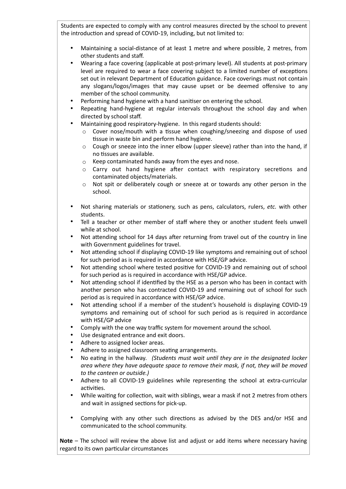Students are expected to comply with any control measures directed by the school to prevent the introduction and spread of COVID-19, including, but not limited to:

- Maintaining a social-distance of at least 1 metre and where possible, 2 metres, from other students and staff.
- Wearing a face covering (applicable at post-primary level). All students at post-primary level are required to wear a face covering subject to a limited number of exceptions set out in relevant Department of Education guidance. Face coverings must not contain any slogans/logos/images that may cause upset or be deemed offensive to any member of the school community.
- Performing hand hygiene with a hand sanitiser on entering the school.
- Repeating hand-hygiene at regular intervals throughout the school day and when directed by school staff.
- Maintaining good respiratory-hygiene. In this regard students should:
	- $\circ$  Cover nose/mouth with a tissue when coughing/sneezing and dispose of used tissue in waste bin and perform hand hygiene.
	- $\circ$  Cough or sneeze into the inner elbow (upper sleeve) rather than into the hand, if no tissues are available.
	- o Keep contaminated hands away from the eyes and nose.
	- $\circ$  Carry out hand hygiene after contact with respiratory secretions and contaminated objects/materials.
	- o Not spit or deliberately cough or sneeze at or towards any other person in the school.
- Not sharing materials or stationery, such as pens, calculators, rulers, *etc.* with other students.
- Tell a teacher or other member of staff where they or another student feels unwell while at school.
- Not attending school for 14 days after returning from travel out of the country in line with Government guidelines for travel.
- Not attending school if displaying COVID-19 like symptoms and remaining out of school for such period as is required in accordance with HSE/GP advice.
- Not attending school where tested positive for COVID-19 and remaining out of school for such period as is required in accordance with HSE/GP advice.
- Not attending school if identified by the HSE as a person who has been in contact with another person who has contracted COVID-19 and remaining out of school for such period as is required in accordance with HSE/GP advice.
- Not attending school if a member of the student's household is displaying COVID-19 symptoms and remaining out of school for such period as is required in accordance with HSE/GP advice
- Comply with the one way traffic system for movement around the school.
- Use designated entrance and exit doors.
- Adhere to assigned locker areas.
- Adhere to assigned classroom seating arrangements.
- No eating in the hallway. (Students must wait until they are in the designated locker *area where they have adequate space to remove their mask, if not, they will be moved to the canteen or outside.)*
- Adhere to all COVID-19 guidelines while representing the school at extra-curricular activities.
- While waiting for collection, wait with siblings, wear a mask if not 2 metres from others and wait in assigned sections for pick-up.
- Complying with any other such directions as advised by the DES and/or HSE and communicated to the school community.

**Note** – The school will review the above list and adjust or add items where necessary having regard to its own particular circumstances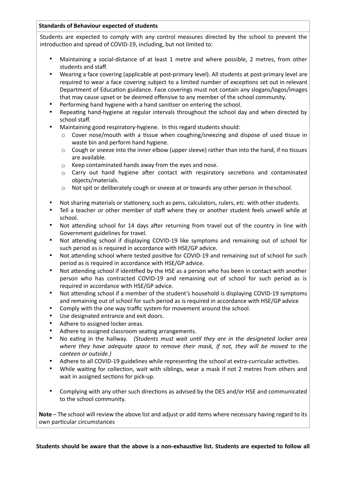#### **Standards of Behaviour expected of students**

Students are expected to comply with any control measures directed by the school to prevent the introduction and spread of COVID-19, including, but not limited to:

- Maintaining a social-distance of at least 1 metre and where possible, 2 metres, from other students and staff.
- Wearing a face covering (applicable at post-primary level). All students at post-primary level are required to wear a face covering subject to a limited number of exceptions set out in relevant Department of Education guidance. Face coverings must not contain any slogans/logos/images that may cause upset or be deemed offensive to any member of the school community.
- Performing hand hygiene with a hand sanitiser on entering the school.
- Repeating hand-hygiene at regular intervals throughout the school day and when directed by school staff.
- Maintaining good respiratory-hygiene. In this regard students should:
	- $\circ$  Cover nose/mouth with a tissue when coughing/sneezing and dispose of used tissue in waste bin and perform hand hygiene.
	- $\circ$  Cough or sneeze into the inner elbow (upper sleeve) rather than into the hand, if no tissues are available.
	- o Keep contaminated hands away from the eyes and nose.
	- $\circ$  Carry out hand hygiene after contact with respiratory secretions and contaminated objects/materials.
	- $\circ$  Not spit or deliberately cough or sneeze at or towards any other person in the school.
- Not sharing materials or stationery, such as pens, calculators, rulers, *etc.* with other students.
- Tell a teacher or other member of staff where they or another student feels unwell while at school.
- Not attending school for 14 days after returning from travel out of the country in line with Government guidelines for travel.
- Not attending school if displaying COVID-19 like symptoms and remaining out of school for such period as is required in accordance with HSE/GP advice.
- Not attending school where tested positive for COVID-19 and remaining out of school for such period as is required in accordance with HSE/GP advice.
- Not attending school if identified by the HSE as a person who has been in contact with another person who has contracted COVID-19 and remaining out of school for such period as is required in accordance with HSE/GP advice.
- Not attending school if a member of the student's household is displaying COVID-19 symptoms and remaining out of school for such period as is required in accordance with HSE/GP advice
- Comply with the one way traffic system for movement around the school.
- Use designated entrance and exit doors.
- Adhere to assigned locker areas.
- Adhere to assigned classroom seating arrangements.
- No eating in the hallway. (Students must wait until they are in the designated locker area *where they have adequate space to remove their mask, if not, they will be moved to the canteen or outside.)*
- Adhere to all COVID-19 guidelines while representing the school at extra-curricular activities.
- While waiting for collection, wait with siblings, wear a mask if not 2 metres from others and wait in assigned sections for pick-up.
- Complying with any other such directions as advised by the DES and/or HSE and communicated to the school community.

**Note** – The school will review the above list and adjust or add items where necessary having regard to its own particular circumstances

Students should be aware that the above is a non-exhaustive list. Students are expected to follow all